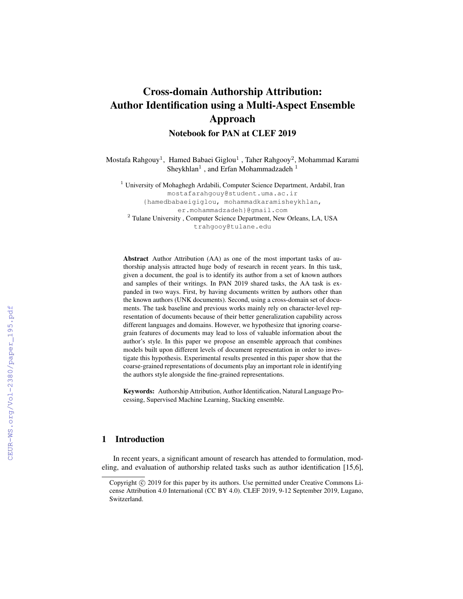# Cross-domain Authorship Attribution: Author Identification using a Multi-Aspect Ensemble Approach

Notebook for PAN at CLEF 2019

Mostafa Rahgouy<sup>1</sup>, Hamed Babaei Giglou<sup>1</sup> , Taher Rahgooy<sup>2</sup>, Mohammad Karami Sheykhlan $^1$  , and Erfan Mohammadzadeh  $^1$ 

<sup>1</sup> University of Mohaghegh Ardabili, Computer Science Department, Ardabil, Iran mostafarahgouy@student.uma.ac.ir {hamedbabaeigiglou, mohammadkaramisheykhlan, er.mohammadzadeh}@gmail.com <sup>2</sup> Tulane University, Computer Science Department, New Orleans, LA, USA trahgooy@tulane.edu

Abstract Author Attribution (AA) as one of the most important tasks of authorship analysis attracted huge body of research in recent years. In this task, given a document, the goal is to identify its author from a set of known authors and samples of their writings. In PAN 2019 shared tasks, the AA task is expanded in two ways. First, by having documents written by authors other than the known authors (UNK documents). Second, using a cross-domain set of documents. The task baseline and previous works mainly rely on character-level representation of documents because of their better generalization capability across different languages and domains. However, we hypothesize that ignoring coarsegrain features of documents may lead to loss of valuable information about the author's style. In this paper we propose an ensemble approach that combines models built upon different levels of document representation in order to investigate this hypothesis. Experimental results presented in this paper show that the coarse-grained representations of documents play an important role in identifying the authors style alongside the fine-grained representations.

Keywords: Authorship Attribution, Author Identification, Natural Language Processing, Supervised Machine Learning, Stacking ensemble.

# 1 Introduction

In recent years, a significant amount of research has attended to formulation, modeling, and evaluation of authorship related tasks such as author identification [15,6],

Copyright  $©$  2019 for this paper by its authors. Use permitted under Creative Commons License Attribution 4.0 International (CC BY 4.0). CLEF 2019, 9-12 September 2019, Lugano, Switzerland.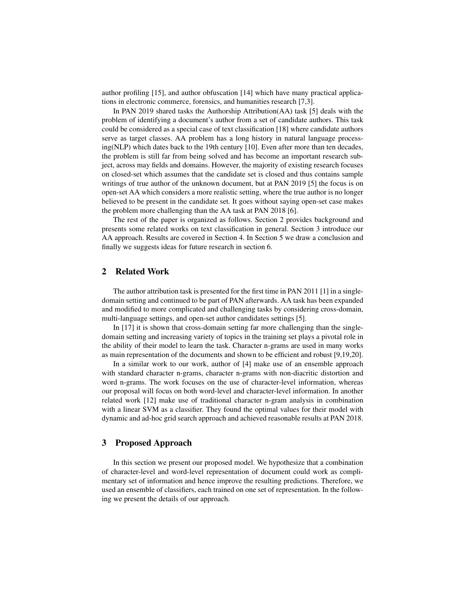author profiling [15], and author obfuscation [14] which have many practical applications in electronic commerce, forensics, and humanities research [7,3].

In PAN 2019 shared tasks the Authorship Attribution(AA) task [5] deals with the problem of identifying a document's author from a set of candidate authors. This task could be considered as a special case of text classification [18] where candidate authors serve as target classes. AA problem has a long history in natural language processing(NLP) which dates back to the 19th century [10]. Even after more than ten decades, the problem is still far from being solved and has become an important research subject, across may fields and domains. However, the majority of existing research focuses on closed-set which assumes that the candidate set is closed and thus contains sample writings of true author of the unknown document, but at PAN 2019 [5] the focus is on open-set AA which considers a more realistic setting, where the true author is no longer believed to be present in the candidate set. It goes without saying open-set case makes the problem more challenging than the AA task at PAN 2018 [6].

The rest of the paper is organized as follows. Section 2 provides background and presents some related works on text classification in general. Section 3 introduce our AA approach. Results are covered in Section 4. In Section 5 we draw a conclusion and finally we suggests ideas for future research in section 6.

## 2 Related Work

The author attribution task is presented for the first time in PAN 2011 [1] in a singledomain setting and continued to be part of PAN afterwards. AA task has been expanded and modified to more complicated and challenging tasks by considering cross-domain, multi-language settings, and open-set author candidates settings [5].

In [17] it is shown that cross-domain setting far more challenging than the singledomain setting and increasing variety of topics in the training set plays a pivotal role in the ability of their model to learn the task. Character n-grams are used in many works as main representation of the documents and shown to be efficient and robust [9,19,20].

In a similar work to our work, author of [4] make use of an ensemble approach with standard character n-grams, character n-grams with non-diacritic distortion and word n-grams. The work focuses on the use of character-level information, whereas our proposal will focus on both word-level and character-level information. In another related work [12] make use of traditional character n-gram analysis in combination with a linear SVM as a classifier. They found the optimal values for their model with dynamic and ad-hoc grid search approach and achieved reasonable results at PAN 2018.

## 3 Proposed Approach

In this section we present our proposed model. We hypothesize that a combination of character-level and word-level representation of document could work as complimentary set of information and hence improve the resulting predictions. Therefore, we used an ensemble of classifiers, each trained on one set of representation. In the following we present the details of our approach.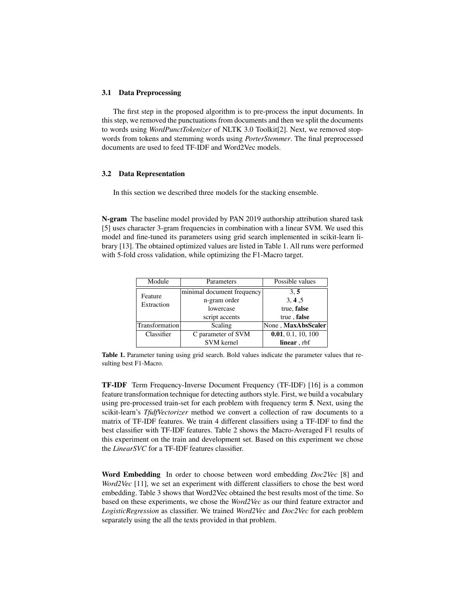#### 3.1 Data Preprocessing

The first step in the proposed algorithm is to pre-process the input documents. In this step, we removed the punctuations from documents and then we split the documents to words using *WordPunctTokenizer* of NLTK 3.0 Toolkit[2]. Next, we removed stopwords from tokens and stemming words using *PorterStemmer*. The final preprocessed documents are used to feed TF-IDF and Word2Vec models.

## 3.2 Data Representation

In this section we described three models for the stacking ensemble.

N-gram The baseline model provided by PAN 2019 authorship attribution shared task [5] uses character 3-gram frequencies in combination with a linear SVM. We used this model and fine-tuned its parameters using grid search implemented in scikit-learn library [13]. The obtained optimized values are listed in Table 1. All runs were performed with 5-fold cross validation, while optimizing the F1-Macro target.

| Module         | Parameters                 | Possible values    |  |
|----------------|----------------------------|--------------------|--|
| Feature        | minimal document frequency | 3, 5               |  |
| Extraction     | n-gram order               | 3, 4, 5            |  |
|                | lowercase                  | true, false        |  |
|                | script accents             | true, false        |  |
| Transformation | Scaling                    | None, MaxAbsScaler |  |
| Classifier     | C parameter of SVM         | 0.01, 0.1, 10, 100 |  |
|                | <b>SVM</b> kernel          | linear, rbf        |  |

Table 1. Parameter tuning using grid search. Bold values indicate the parameter values that resulting best F1-Macro.

TF-IDF Term Frequency-Inverse Document Frequency (TF-IDF) [16] is a common feature transformation technique for detecting authors style. First, we build a vocabulary using pre-processed train-set for each problem with frequency term 5. Next, using the scikit-learn's *TfidfVectorizer* method we convert a collection of raw documents to a matrix of TF-IDF features. We train 4 different classifiers using a TF-IDF to find the best classifier with TF-IDF features. Table 2 shows the Macro-Averaged F1 results of this experiment on the train and development set. Based on this experiment we chose the *LinearSVC* for a TF-IDF features classifier.

Word Embedding In order to choose between word embedding *Doc2Vec* [8] and *Word2Vec* [11], we set an experiment with different classifiers to chose the best word embedding. Table 3 shows that Word2Vec obtained the best results most of the time. So based on these experiments, we chose the *Word2Vec* as our third feature extractor and *LogisticRegression* as classifier. We trained *Word2Vec* and *Doc2Vec* for each problem separately using the all the texts provided in that problem.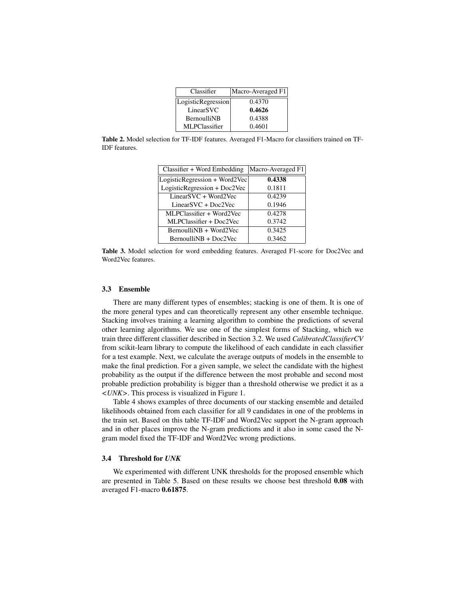| Classifier         | Macro-Averaged F1 |
|--------------------|-------------------|
| LogisticRegression | 0.4370            |
| LinearSVC          | 0.4626            |
| <b>BernoulliNB</b> | 0.4388            |
| MLPClassifier      | 0.4601            |

Table 2. Model selection for TF-IDF features. Averaged F1-Macro for classifiers trained on TF-IDF features.

| Classifier + Word Embedding   | Macro-Averaged F1 |
|-------------------------------|-------------------|
| LogisticRegression + Word2Vec | 0.4338            |
| LogisticRegression + Doc2Vec  | 0.1811            |
| $LinearSVC + Word2Vec$        | 0.4239            |
| $LinearSVC + Doc2Vec$         | 0.1946            |
| MLPClassifier + Word2Vec      | 0.4278            |
| MLPClassifier + Doc2Vec       | 0.3742            |
| BernoulliNB + Word2Vec        | 0.3425            |
| BernoulliNB + Doc2Vec         | 0.3462            |
|                               |                   |

Table 3. Model selection for word embedding features. Averaged F1-score for Doc2Vec and Word2Vec features.

#### 3.3 Ensemble

There are many different types of ensembles; stacking is one of them. It is one of the more general types and can theoretically represent any other ensemble technique. Stacking involves training a learning algorithm to combine the predictions of several other learning algorithms. We use one of the simplest forms of Stacking, which we train three different classifier described in Section 3.2. We used *CalibratedClassifierCV* from scikit-learn library to compute the likelihood of each candidate in each classifier for a test example. Next, we calculate the average outputs of models in the ensemble to make the final prediction. For a given sample, we select the candidate with the highest probability as the output if the difference between the most probable and second most probable prediction probability is bigger than a threshold otherwise we predict it as a *<UNK>*. This process is visualized in Figure 1.

Table 4 shows examples of three documents of our stacking ensemble and detailed likelihoods obtained from each classifier for all 9 candidates in one of the problems in the train set. Based on this table TF-IDF and Word2Vec support the N-gram approach and in other places improve the N-gram predictions and it also in some cased the Ngram model fixed the TF-IDF and Word2Vec wrong predictions.

#### 3.4 Threshold for *UNK*

We experimented with different UNK thresholds for the proposed ensemble which are presented in Table 5. Based on these results we choose best threshold 0.08 with averaged F1-macro 0.61875.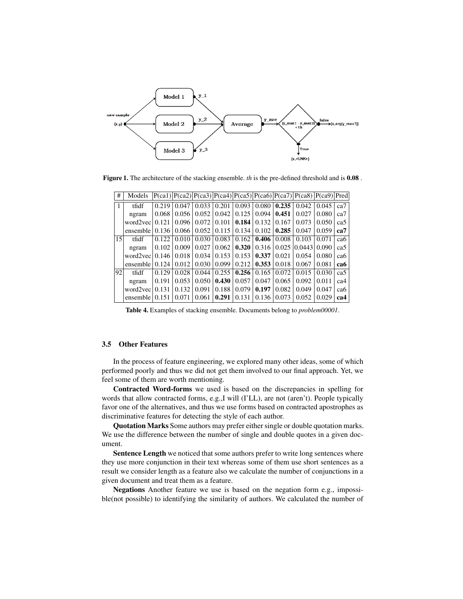

Figure 1. The architecture of the stacking ensemble. *th* is the pre-defined threshold and is 0.08 .

| #  | Models   |       |       |       |       |       |       |       | $P(ca1) P(ca2) P(ca3) P(ca4) P(ca5) P(ca5) P(ca6) P(ca7) P(ca8) P(ca9) Pred $ |       |     |
|----|----------|-------|-------|-------|-------|-------|-------|-------|-------------------------------------------------------------------------------|-------|-----|
| 1  | tfidf    | 0.219 | 0.047 | 0.033 | 0.201 | 0.093 | 0.080 | 0.235 | 0.042                                                                         | 0.045 | ca7 |
|    | ngram    | 0.068 | 0.056 | 0.052 | 0.042 | 0.125 | 0.094 | 0.451 | 0.027                                                                         | 0.080 | ca7 |
|    | word2vec | 0.121 | 0.096 | 0.072 | 0.101 | 0.184 | 0.132 | 0.167 | 0.073                                                                         | 0.050 | ca5 |
|    | ensemble | 0.136 | 0.066 | 0.052 | 0.115 | 0.134 | 0.102 | 0.285 | 0.047                                                                         | 0.059 | ca7 |
| 15 | tfidf    | 0.122 | 0.010 | 0.030 | 0.083 | 0.162 | 0.406 | 0.008 | 0.103                                                                         | 0.071 | ca6 |
|    | ngram    | 0.102 | 0.009 | 0.027 | 0.062 | 0.320 | 0.316 | 0.025 | 0.0443                                                                        | 0.090 | ca5 |
|    | word2vec | 0.146 | 0.018 | 0.034 | 0.153 | 0.153 | 0.337 | 0.021 | 0.054                                                                         | 0.080 | ca6 |
|    | ensemble | 0.124 | 0.012 | 0.030 | 0.099 | 0.212 | 0.353 | 0.018 | 0.067                                                                         | 0.081 | ca6 |
| 92 | tfidf    | 0.129 | 0.028 | 0.044 | 0.255 | 0.256 | 0.165 | 0.072 | 0.015                                                                         | 0.030 | ca5 |
|    | ngram    | 0.191 | 0.053 | 0.050 | 0.430 | 0.057 | 0.047 | 0.065 | 0.092                                                                         | 0.011 | ca4 |
|    | word2vec | 0.131 | 0.132 | 0.091 | 0.188 | 0.079 | 0.197 | 0.082 | 0.049                                                                         | 0.047 | ca6 |
|    | ensemble | 0.151 | 0.071 | 0.061 | 0.291 | 0.131 | 0.136 | 0.073 | 0.052                                                                         | 0.029 | ca4 |

Table 4. Examples of stacking ensemble. Documents belong to *problem00001*.

#### 3.5 Other Features

In the process of feature engineering, we explored many other ideas, some of which performed poorly and thus we did not get them involved to our final approach. Yet, we feel some of them are worth mentioning.

Contracted Word-forms we used is based on the discrepancies in spelling for words that allow contracted forms, e.g.,I will (I'LL), are not (aren't). People typically favor one of the alternatives, and thus we use forms based on contracted apostrophes as discriminative features for detecting the style of each author.

Quotation Marks Some authors may prefer either single or double quotation marks. We use the difference between the number of single and double quotes in a given document.

Sentence Length we noticed that some authors prefer to write long sentences where they use more conjunction in their text whereas some of them use short sentences as a result we consider length as a feature also we calculate the number of conjunctions in a given document and treat them as a feature.

Negations Another feature we use is based on the negation form e.g., impossible(not possible) to identifying the similarity of authors. We calculated the number of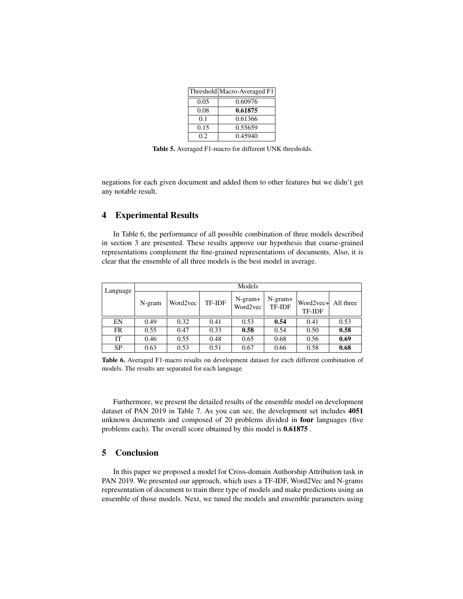|      | Threshold Macro-Averaged F1 |
|------|-----------------------------|
| 0.05 | 0.60976                     |
| 0.08 | 0.61875                     |
| 0.1  | 0.61366                     |
| 0.15 | 0.55659                     |
| 02   | 0.45940                     |

Table 5. Averaged F1-macro for different UNK thresholds.

negations for each given document and added them to other features but we didn't get any notable result.

### 4 Experimental Results

In Table 6, the performance of all possible combination of three models described in section 3 are presented. These results approve our hypothesis that coarse-grained representations complement the fine-grained representations of documents. Also, it is clear that the ensemble of all three models is the best model in average.

| Language  | Models |          |               |                       |                            |                                      |      |  |
|-----------|--------|----------|---------------|-----------------------|----------------------------|--------------------------------------|------|--|
|           | N-gram | Word2vec | <b>TF-IDF</b> | $N-gram+$<br>Word2vec | $N-gram+$<br><b>TF-IDF</b> | Word2vec+ All three<br><b>TF-IDF</b> |      |  |
| EN        | 0.49   | 0.32     | 0.41          | 0.53                  | 0.54                       | 0.41                                 | 0.53 |  |
| <b>FR</b> | 0.55   | 0.47     | 0.33          | 0.58                  | 0.54                       | 0.50                                 | 0.58 |  |
| IT        | 0.46   | 0.55     | 0.48          | 0.65                  | 0.68                       | 0.56                                 | 0.69 |  |
| <b>SP</b> | 0.63   | 0.53     | 0.51          | 0.67                  | 0.66                       | 0.58                                 | 0.68 |  |

Table 6. Averaged F1-macro results on development dataset for each different combination of models. The results are separated for each language

Furthermore, we present the detailed results of the ensemble model on development dataset of PAN 2019 in Table 7. As you can see, the development set includes 4051 unknown documents and composed of 20 problems divided in four languages (five problems each). The overall score obtained by this model is 0.61875 .

# 5 Conclusion

In this paper we proposed a model for Cross-domain Authorship Attribution task in PAN 2019. We presented our approach, which uses a TF-IDF, Word2Vec and N-grams representation of document to train three type of models and make predictions using an ensemble of those models. Next, we tuned the models and ensemble parameters using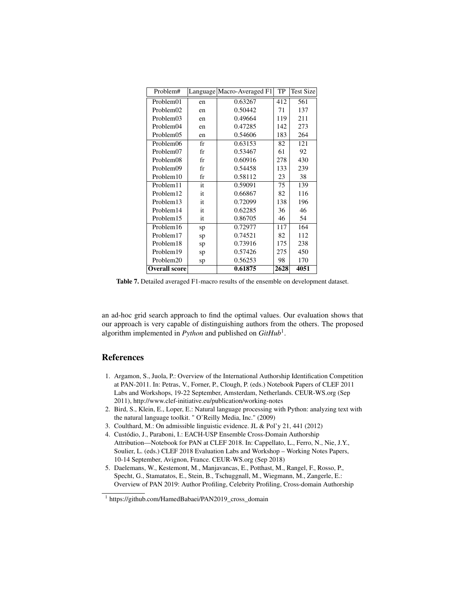| Problem#             |             | Language Macro-Averaged F1 | TP   | <b>Test Size</b> |
|----------------------|-------------|----------------------------|------|------------------|
| Problem01            | en          | 0.63267                    | 412  | 561              |
| Problem02            | en          | 0.50442                    | 71   | 137              |
| Problem03            | en          | 0.49664                    | 119  | 211              |
| Problem04            | en          | 0.47285                    | 142  | 273              |
| Problem05            | en          | 0.54606                    | 183  | 264              |
| Problem06            | $_{\rm fr}$ | 0.63153                    | 82   | 121              |
| Problem07            | fr          | 0.53467                    | 61   | 92               |
| Problem08            | fr          | 0.60916                    | 278  | 430              |
| Problem09            | fr          | 0.54458                    | 133  | 239              |
| Problem10            | $_{\rm fr}$ | 0.58112                    | 23   | 38               |
| Problem11            | it          | 0.59091                    | 75   | 139              |
| Problem12            | it          | 0.66867                    | 82   | 116              |
| Problem13            | it          | 0.72099                    | 138  | 196              |
| Problem14            | it          | 0.62285                    | 36   | 46               |
| Problem15            | it          | 0.86705                    | 46   | 54               |
| Problem16            | sp          | 0.72977                    | 117  | 164              |
| Problem17            | sp          | 0.74521                    | 82   | 112              |
| Problem18            | sp          | 0.73916                    | 175  | 238              |
| Problem19            | sp          | 0.57426                    | 275  | 450              |
| Problem20            | sp          | 0.56253                    | 98   | 170              |
| <b>Overall score</b> |             | 0.61875                    | 2628 | 4051             |

Table 7. Detailed averaged F1-macro results of the ensemble on development dataset.

an ad-hoc grid search approach to find the optimal values. Our evaluation shows that our approach is very capable of distinguishing authors from the others. The proposed algorithm implemented in *Python* and published on *GitHub*<sup>1</sup> .

# References

- 1. Argamon, S., Juola, P.: Overview of the International Authorship Identification Competition at PAN-2011. In: Petras, V., Forner, P., Clough, P. (eds.) Notebook Papers of CLEF 2011 Labs and Workshops, 19-22 September, Amsterdam, Netherlands. CEUR-WS.org (Sep 2011), http://www.clef-initiative.eu/publication/working-notes
- 2. Bird, S., Klein, E., Loper, E.: Natural language processing with Python: analyzing text with the natural language toolkit. " O'Reilly Media, Inc." (2009)
- 3. Coulthard, M.: On admissible linguistic evidence. JL & Pol'y 21, 441 (2012)
- 4. Custódio, J., Paraboni, I.: EACH-USP Ensemble Cross-Domain Authorship Attribution—Notebook for PAN at CLEF 2018. In: Cappellato, L., Ferro, N., Nie, J.Y., Soulier, L. (eds.) CLEF 2018 Evaluation Labs and Workshop – Working Notes Papers, 10-14 September, Avignon, France. CEUR-WS.org (Sep 2018)
- 5. Daelemans, W., Kestemont, M., Manjavancas, E., Potthast, M., Rangel, F., Rosso, P., Specht, G., Stamatatos, E., Stein, B., Tschuggnall, M., Wiegmann, M., Zangerle, E.: Overview of PAN 2019: Author Profiling, Celebrity Profiling, Cross-domain Authorship

<sup>1</sup> https://github.com/HamedBabaei/PAN2019\_cross\_domain